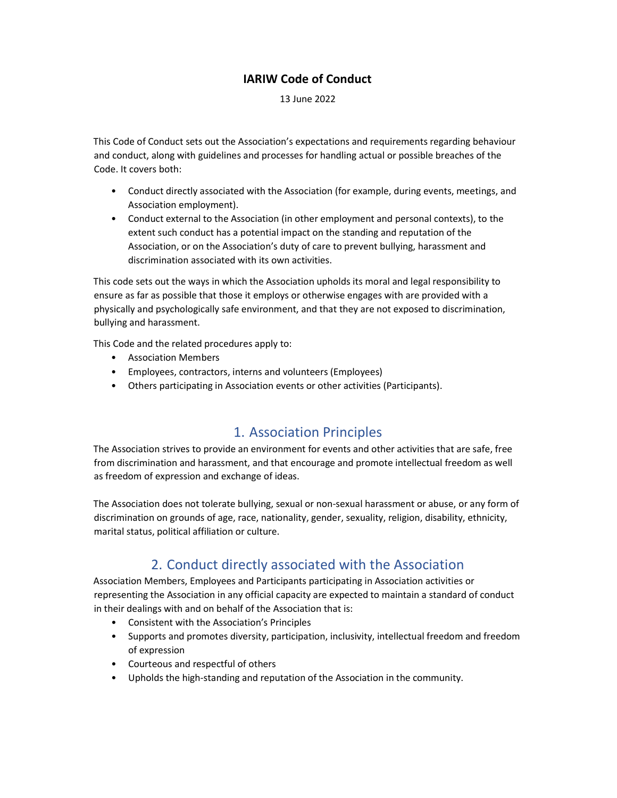#### IARIW Code of Conduct

13 June 2022

This Code of Conduct sets out the Association's expectations and requirements regarding behaviour and conduct, along with guidelines and processes for handling actual or possible breaches of the Code. It covers both:

- Conduct directly associated with the Association (for example, during events, meetings, and Association employment).
- Conduct external to the Association (in other employment and personal contexts), to the extent such conduct has a potential impact on the standing and reputation of the Association, or on the Association's duty of care to prevent bullying, harassment and discrimination associated with its own activities.

This code sets out the ways in which the Association upholds its moral and legal responsibility to ensure as far as possible that those it employs or otherwise engages with are provided with a physically and psychologically safe environment, and that they are not exposed to discrimination, bullying and harassment.

This Code and the related procedures apply to:

- Association Members
- Employees, contractors, interns and volunteers (Employees)
- Others participating in Association events or other activities (Participants).

#### 1. Association Principles

The Association strives to provide an environment for events and other activities that are safe, free from discrimination and harassment, and that encourage and promote intellectual freedom as well as freedom of expression and exchange of ideas.

The Association does not tolerate bullying, sexual or non-sexual harassment or abuse, or any form of discrimination on grounds of age, race, nationality, gender, sexuality, religion, disability, ethnicity, marital status, political affiliation or culture.

# 2. Conduct directly associated with the Association

Association Members, Employees and Participants participating in Association activities or representing the Association in any official capacity are expected to maintain a standard of conduct in their dealings with and on behalf of the Association that is:

- Consistent with the Association's Principles
- Supports and promotes diversity, participation, inclusivity, intellectual freedom and freedom of expression
- Courteous and respectful of others
- Upholds the high-standing and reputation of the Association in the community.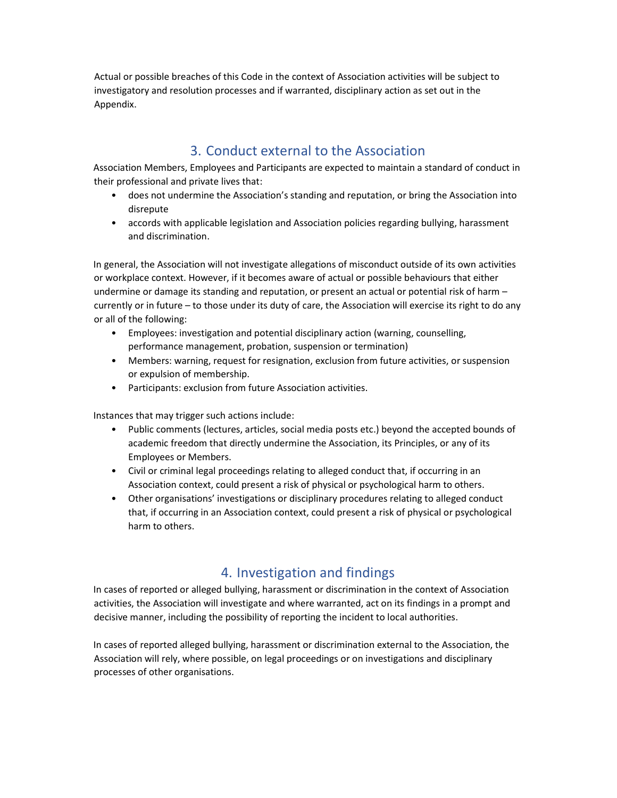Actual or possible breaches of this Code in the context of Association activities will be subject to investigatory and resolution processes and if warranted, disciplinary action as set out in the Appendix.

### 3. Conduct external to the Association

Association Members, Employees and Participants are expected to maintain a standard of conduct in their professional and private lives that:

- does not undermine the Association's standing and reputation, or bring the Association into disrepute
- accords with applicable legislation and Association policies regarding bullying, harassment and discrimination.

In general, the Association will not investigate allegations of misconduct outside of its own activities or workplace context. However, if it becomes aware of actual or possible behaviours that either undermine or damage its standing and reputation, or present an actual or potential risk of harm – currently or in future – to those under its duty of care, the Association will exercise its right to do any or all of the following:

- Employees: investigation and potential disciplinary action (warning, counselling, performance management, probation, suspension or termination)
- Members: warning, request for resignation, exclusion from future activities, or suspension or expulsion of membership.
- Participants: exclusion from future Association activities.

Instances that may trigger such actions include:

- Public comments (lectures, articles, social media posts etc.) beyond the accepted bounds of academic freedom that directly undermine the Association, its Principles, or any of its Employees or Members.
- Civil or criminal legal proceedings relating to alleged conduct that, if occurring in an Association context, could present a risk of physical or psychological harm to others.
- Other organisations' investigations or disciplinary procedures relating to alleged conduct that, if occurring in an Association context, could present a risk of physical or psychological harm to others.

# 4. Investigation and findings

In cases of reported or alleged bullying, harassment or discrimination in the context of Association activities, the Association will investigate and where warranted, act on its findings in a prompt and decisive manner, including the possibility of reporting the incident to local authorities.

In cases of reported alleged bullying, harassment or discrimination external to the Association, the Association will rely, where possible, on legal proceedings or on investigations and disciplinary processes of other organisations.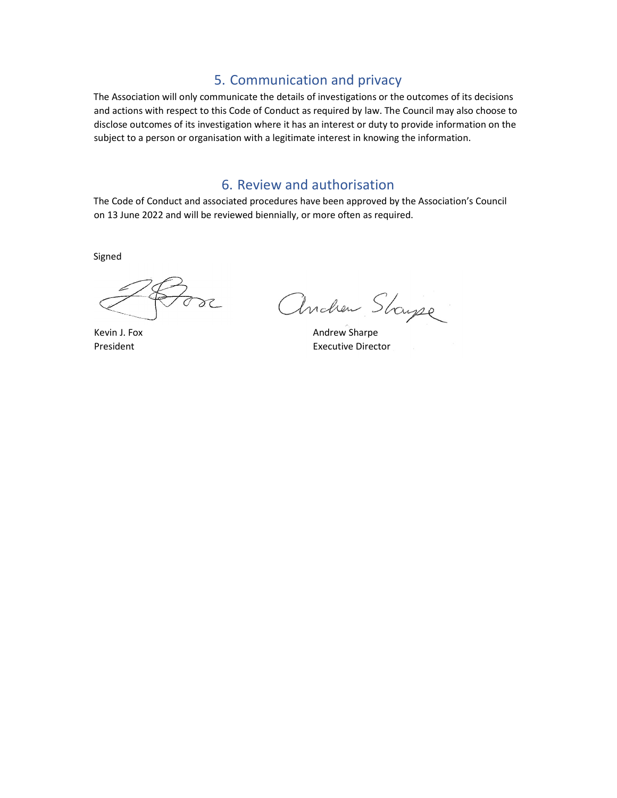## 5. Communication and privacy

The Association will only communicate the details of investigations or the outcomes of its decisions and actions with respect to this Code of Conduct as required by law. The Council may also choose to disclose outcomes of its investigation where it has an interest or duty to provide information on the subject to a person or organisation with a legitimate interest in knowing the information.

#### 6. Review and authorisation

The Code of Conduct and associated procedures have been approved by the Association's Council on 13 June 2022 and will be reviewed biennially, or more often as required.

Signed

 $2c$ 

Etose Andrew Stayse

President **Executive Director**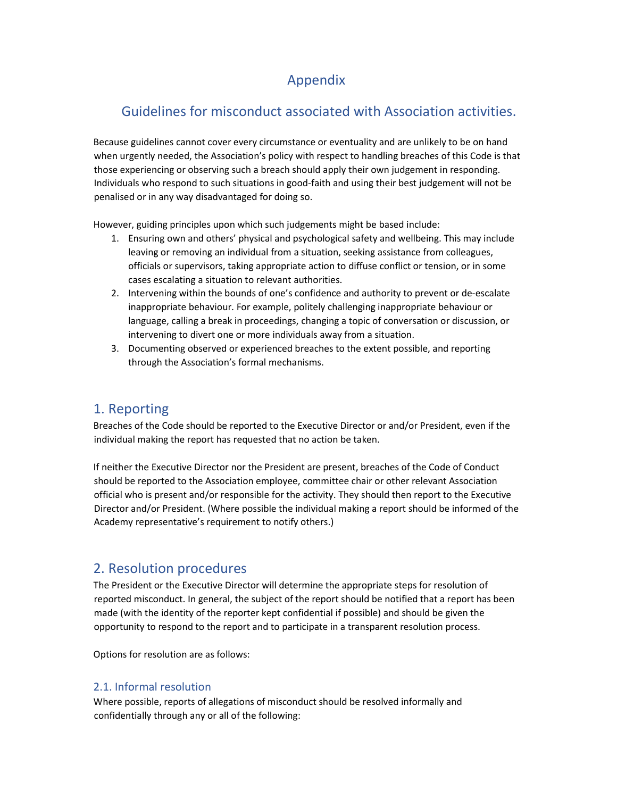## Appendix

# Guidelines for misconduct associated with Association activities.

Because guidelines cannot cover every circumstance or eventuality and are unlikely to be on hand when urgently needed, the Association's policy with respect to handling breaches of this Code is that those experiencing or observing such a breach should apply their own judgement in responding. Individuals who respond to such situations in good-faith and using their best judgement will not be penalised or in any way disadvantaged for doing so.

However, guiding principles upon which such judgements might be based include:

- 1. Ensuring own and others' physical and psychological safety and wellbeing. This may include leaving or removing an individual from a situation, seeking assistance from colleagues, officials or supervisors, taking appropriate action to diffuse conflict or tension, or in some cases escalating a situation to relevant authorities.
- 2. Intervening within the bounds of one's confidence and authority to prevent or de-escalate inappropriate behaviour. For example, politely challenging inappropriate behaviour or language, calling a break in proceedings, changing a topic of conversation or discussion, or intervening to divert one or more individuals away from a situation.
- 3. Documenting observed or experienced breaches to the extent possible, and reporting through the Association's formal mechanisms.

## 1. Reporting

Breaches of the Code should be reported to the Executive Director or and/or President, even if the individual making the report has requested that no action be taken.

If neither the Executive Director nor the President are present, breaches of the Code of Conduct should be reported to the Association employee, committee chair or other relevant Association official who is present and/or responsible for the activity. They should then report to the Executive Director and/or President. (Where possible the individual making a report should be informed of the Academy representative's requirement to notify others.)

## 2. Resolution procedures

The President or the Executive Director will determine the appropriate steps for resolution of reported misconduct. In general, the subject of the report should be notified that a report has been made (with the identity of the reporter kept confidential if possible) and should be given the opportunity to respond to the report and to participate in a transparent resolution process.

Options for resolution are as follows:

#### 2.1. Informal resolution

Where possible, reports of allegations of misconduct should be resolved informally and confidentially through any or all of the following: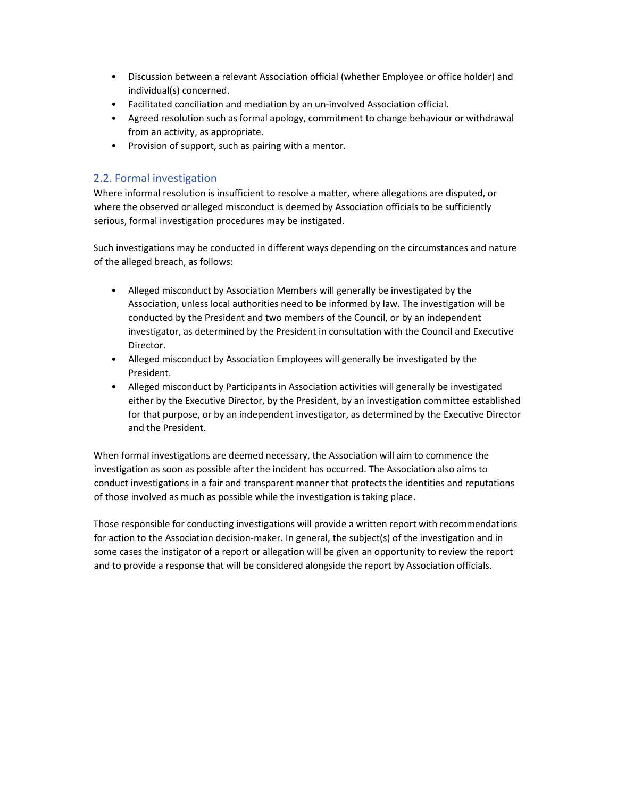- Discussion between a relevant Association official (whether Employee or office holder) and individual(s) concerned.
- Facilitated conciliation and mediation by an un-involved Association official.
- Agreed resolution such as formal apology, commitment to change behaviour or withdrawal from an activity, as appropriate.
- Provision of support, such as pairing with a mentor.

#### 2.2. Formal investigation

Where informal resolution is insufficient to resolve a matter, where allegations are disputed, or where the observed or alleged misconduct is deemed by Association officials to be sufficiently serious, formal investigation procedures may be instigated.

Such investigations may be conducted in different ways depending on the circumstances and nature of the alleged breach, as follows:

- Alleged misconduct by Association Members will generally be investigated by the Association, unless local authorities need to be informed by law. The investigation will be conducted by the President and two members of the Council, or by an independent investigator, as determined by the President in consultation with the Council and Executive Director.
- Alleged misconduct by Association Employees will generally be investigated by the President.
- Alleged misconduct by Participants in Association activities will generally be investigated either by the Executive Director, by the President, by an investigation committee established for that purpose, or by an independent investigator, as determined by the Executive Director and the President.

When formal investigations are deemed necessary, the Association will aim to commence the investigation as soon as possible after the incident has occurred. The Association also aims to conduct investigations in a fair and transparent manner that protects the identities and reputations of those involved as much as possible while the investigation is taking place.

Those responsible for conducting investigations will provide a written report with recommendations for action to the Association decision-maker. In general, the subject(s) of the investigation and in some cases the instigator of a report or allegation will be given an opportunity to review the report and to provide a response that will be considered alongside the report by Association officials.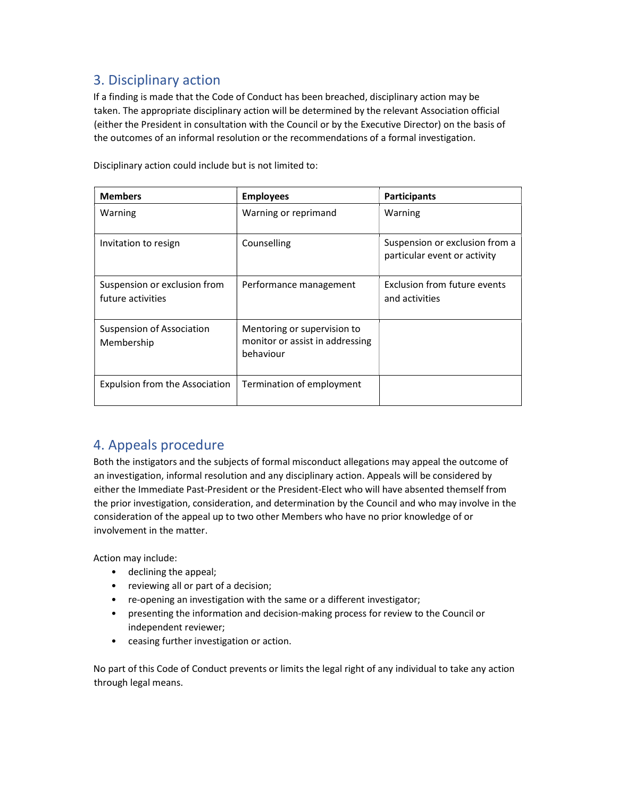# 3. Disciplinary action

If a finding is made that the Code of Conduct has been breached, disciplinary action may be taken. The appropriate disciplinary action will be determined by the relevant Association official (either the President in consultation with the Council or by the Executive Director) on the basis of the outcomes of an informal resolution or the recommendations of a formal investigation.

Disciplinary action could include but is not limited to:

| <b>Members</b>                                    | <b>Employees</b>                                                            | <b>Participants</b>                                            |
|---------------------------------------------------|-----------------------------------------------------------------------------|----------------------------------------------------------------|
| Warning                                           | Warning or reprimand                                                        | Warning                                                        |
| Invitation to resign                              | Counselling                                                                 | Suspension or exclusion from a<br>particular event or activity |
| Suspension or exclusion from<br>future activities | Performance management                                                      | Exclusion from future events<br>and activities                 |
| Suspension of Association<br>Membership           | Mentoring or supervision to<br>monitor or assist in addressing<br>behaviour |                                                                |
| Expulsion from the Association                    | Termination of employment                                                   |                                                                |

## 4. Appeals procedure

Both the instigators and the subjects of formal misconduct allegations may appeal the outcome of an investigation, informal resolution and any disciplinary action. Appeals will be considered by either the Immediate Past-President or the President-Elect who will have absented themself from the prior investigation, consideration, and determination by the Council and who may involve in the consideration of the appeal up to two other Members who have no prior knowledge of or involvement in the matter.

Action may include:

- declining the appeal;
- reviewing all or part of a decision;
- re-opening an investigation with the same or a different investigator;
- presenting the information and decision-making process for review to the Council or independent reviewer;
- ceasing further investigation or action.

No part of this Code of Conduct prevents or limits the legal right of any individual to take any action through legal means.